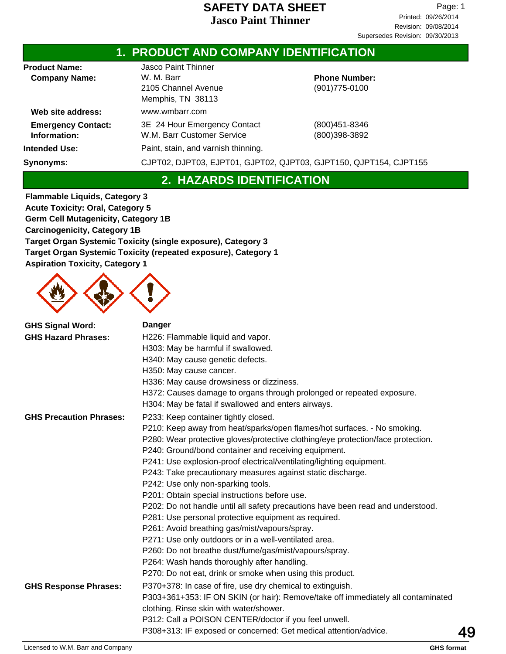### **1. PRODUCT AND COMPANY IDENTIFICATION**

| <b>Product Name:</b>                      | <b>Jasco Paint Thinner</b>                                        |                                           |
|-------------------------------------------|-------------------------------------------------------------------|-------------------------------------------|
| <b>Company Name:</b>                      | W. M. Barr<br>2105 Channel Avenue                                 | <b>Phone Number:</b><br>$(901)775 - 0100$ |
|                                           | Memphis, TN 38113                                                 |                                           |
| Web site address:                         | www.wmbarr.com                                                    |                                           |
| <b>Emergency Contact:</b><br>Information: | 3E 24 Hour Emergency Contact<br>W.M. Barr Customer Service        | (800) 451-8346<br>(800)398-3892           |
| <b>Intended Use:</b>                      | Paint, stain, and varnish thinning.                               |                                           |
| Synonyms:                                 | CJPT02, DJPT03, EJPT01, GJPT02, QJPT03, GJPT150, QJPT154, CJPT155 |                                           |

# **2. HAZARDS IDENTIFICATION**

**Flammable Liquids, Category 3 Acute Toxicity: Oral, Category 5 Germ Cell Mutagenicity, Category 1B Carcinogenicity, Category 1B Target Organ Systemic Toxicity (single exposure), Category 3 Target Organ Systemic Toxicity (repeated exposure), Category 1 Aspiration Toxicity, Category 1**



| <b>GHS Signal Word:</b>           | <b>Danger</b>                                                                    |    |
|-----------------------------------|----------------------------------------------------------------------------------|----|
| <b>GHS Hazard Phrases:</b>        | H226: Flammable liquid and vapor.                                                |    |
|                                   | H303: May be harmful if swallowed.                                               |    |
|                                   | H340: May cause genetic defects.                                                 |    |
|                                   | H350: May cause cancer.                                                          |    |
|                                   | H336: May cause drowsiness or dizziness.                                         |    |
|                                   | H372: Causes damage to organs through prolonged or repeated exposure.            |    |
|                                   | H304: May be fatal if swallowed and enters airways.                              |    |
| <b>GHS Precaution Phrases:</b>    | P233: Keep container tightly closed.                                             |    |
|                                   | P210: Keep away from heat/sparks/open flames/hot surfaces. - No smoking.         |    |
|                                   | P280: Wear protective gloves/protective clothing/eye protection/face protection. |    |
|                                   | P240: Ground/bond container and receiving equipment.                             |    |
|                                   | P241: Use explosion-proof electrical/ventilating/lighting equipment.             |    |
|                                   | P243: Take precautionary measures against static discharge.                      |    |
|                                   | P242: Use only non-sparking tools.                                               |    |
|                                   | P201: Obtain special instructions before use.                                    |    |
|                                   | P202: Do not handle until all safety precautions have been read and understood.  |    |
|                                   | P281: Use personal protective equipment as required.                             |    |
|                                   | P261: Avoid breathing gas/mist/vapours/spray.                                    |    |
|                                   | P271: Use only outdoors or in a well-ventilated area.                            |    |
|                                   | P260: Do not breathe dust/fume/gas/mist/vapours/spray.                           |    |
|                                   | P264: Wash hands thoroughly after handling.                                      |    |
|                                   | P270: Do not eat, drink or smoke when using this product.                        |    |
| <b>GHS Response Phrases:</b>      | P370+378: In case of fire, use dry chemical to extinguish.                       |    |
|                                   | P303+361+353: IF ON SKIN (or hair): Remove/take off immediately all contaminated |    |
|                                   | clothing. Rinse skin with water/shower.                                          |    |
|                                   | P312: Call a POISON CENTER/doctor if you feel unwell.                            |    |
|                                   | P308+313: IF exposed or concerned: Get medical attention/advice.                 | 49 |
| Licensed to W.M. Barr and Company | <b>GHS format</b>                                                                |    |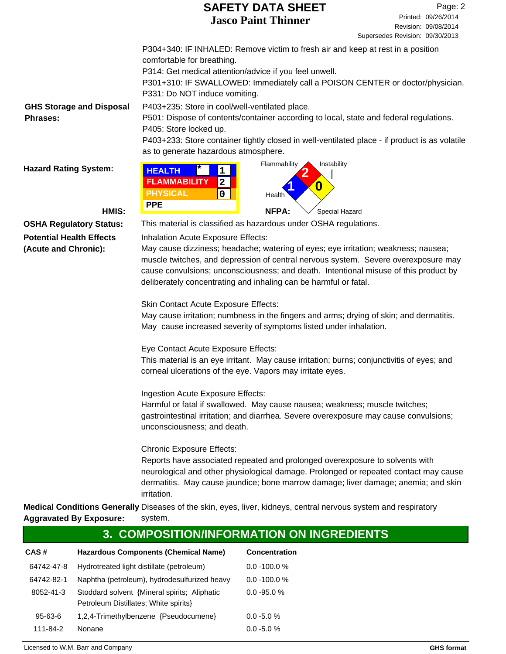|                                 | <b>SAFETY DATA SHEET</b>                                                                                                                                | Page: 2                                     |  |  |
|---------------------------------|---------------------------------------------------------------------------------------------------------------------------------------------------------|---------------------------------------------|--|--|
|                                 | <b>Jasco Paint Thinner</b>                                                                                                                              | Printed: 09/26/2014<br>Revision: 09/08/2014 |  |  |
|                                 | P304+340: IF INHALED: Remove victim to fresh air and keep at rest in a position                                                                         | Supersedes Revision: 09/30/2013             |  |  |
|                                 | comfortable for breathing.                                                                                                                              |                                             |  |  |
|                                 | P314: Get medical attention/advice if you feel unwell.                                                                                                  |                                             |  |  |
|                                 | P301+310: IF SWALLOWED: Immediately call a POISON CENTER or doctor/physician.<br>P331: Do NOT induce vomiting.                                          |                                             |  |  |
| <b>GHS Storage and Disposal</b> | P403+235: Store in cool/well-ventilated place.                                                                                                          |                                             |  |  |
| <b>Phrases:</b>                 | P501: Dispose of contents/container according to local, state and federal regulations.<br>P405: Store locked up.                                        |                                             |  |  |
|                                 | P403+233: Store container tightly closed in well-ventilated place - if product is as volatile<br>as to generate hazardous atmosphere.                   |                                             |  |  |
|                                 | Instability<br>Flammability                                                                                                                             |                                             |  |  |
| <b>Hazard Rating System:</b>    | <b>HEALTH</b><br>1<br><b>FLAMMABILITY</b>                                                                                                               |                                             |  |  |
|                                 | $\boldsymbol{2}$<br>O<br><b>PHYSICAL</b><br>$\mathbf 0$                                                                                                 |                                             |  |  |
|                                 | Health<br><b>PPE</b>                                                                                                                                    |                                             |  |  |
| HMIS:                           | <b>NFPA:</b><br>Special Hazard                                                                                                                          |                                             |  |  |
| <b>OSHA Regulatory Status:</b>  | This material is classified as hazardous under OSHA regulations.                                                                                        |                                             |  |  |
| <b>Potential Health Effects</b> | Inhalation Acute Exposure Effects:                                                                                                                      |                                             |  |  |
| (Acute and Chronic):            | May cause dizziness; headache; watering of eyes; eye irritation; weakness; nausea;                                                                      |                                             |  |  |
|                                 | muscle twitches, and depression of central nervous system. Severe overexposure may                                                                      |                                             |  |  |
|                                 | cause convulsions; unconsciousness; and death. Intentional misuse of this product by                                                                    |                                             |  |  |
|                                 | deliberately concentrating and inhaling can be harmful or fatal.                                                                                        |                                             |  |  |
|                                 | Skin Contact Acute Exposure Effects:                                                                                                                    |                                             |  |  |
|                                 | May cause irritation; numbness in the fingers and arms; drying of skin; and dermatitis.                                                                 |                                             |  |  |
|                                 | May cause increased severity of symptoms listed under inhalation.                                                                                       |                                             |  |  |
|                                 | Eye Contact Acute Exposure Effects:                                                                                                                     |                                             |  |  |
|                                 | This material is an eye irritant. May cause irritation; burns; conjunctivitis of eyes; and<br>corneal ulcerations of the eye. Vapors may irritate eyes. |                                             |  |  |
|                                 | Ingestion Acute Exposure Effects:                                                                                                                       |                                             |  |  |
|                                 | Harmful or fatal if swallowed. May cause nausea; weakness; muscle twitches;                                                                             |                                             |  |  |
|                                 | gastrointestinal irritation; and diarrhea. Severe overexposure may cause convulsions;                                                                   |                                             |  |  |
|                                 | unconsciousness; and death.                                                                                                                             |                                             |  |  |
|                                 | <b>Chronic Exposure Effects:</b>                                                                                                                        |                                             |  |  |
|                                 | Reports have associated repeated and prolonged overexposure to solvents with                                                                            |                                             |  |  |
|                                 | neurological and other physiological damage. Prolonged or repeated contact may cause                                                                    |                                             |  |  |
|                                 | dermatitis. May cause jaundice; bone marrow damage; liver damage; anemia; and skin<br>irritation.                                                       |                                             |  |  |
|                                 | Medical Conditions Generally Diseases of the skin, eves, liver, kidneys, central nervous system and respiratory                                         |                                             |  |  |

Diseases of the skin, eyes, liver, kidneys, central nervous system and respiratory system. **Medical Conditions Generally Aggravated By Exposure:**

|            |                                                                                       | 3. COMPOSITION/INFORMATION ON INGREDIENTS |
|------------|---------------------------------------------------------------------------------------|-------------------------------------------|
| CAS#       | <b>Hazardous Components (Chemical Name)</b>                                           | <b>Concentration</b>                      |
| 64742-47-8 | Hydrotreated light distillate (petroleum)                                             | $0.0 - 100.0 %$                           |
| 64742-82-1 | Naphtha (petroleum), hydrodesulfurized heavy                                          | $0.0 - 100.0 %$                           |
| 8052-41-3  | Stoddard solvent {Mineral spirits; Aliphatic<br>Petroleum Distillates; White spirits} | $0.0 - 95.0 %$                            |
| 95-63-6    | 1,2,4-Trimethylbenzene {Pseudocumene}                                                 | $0.0 - 5.0 %$                             |
| 111-84-2   | <b>Nonane</b>                                                                         | $0.0 - 5.0 %$                             |
|            |                                                                                       |                                           |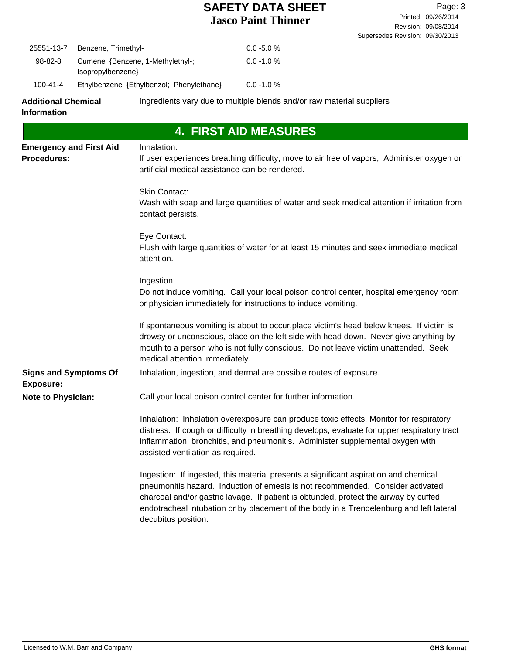| 25551-13-7                                                       | Benzene, Trimethyl- |                                                               | $0.0 - 5.0 %$                                                                                                                                                                                                                                                                                                                                             |
|------------------------------------------------------------------|---------------------|---------------------------------------------------------------|-----------------------------------------------------------------------------------------------------------------------------------------------------------------------------------------------------------------------------------------------------------------------------------------------------------------------------------------------------------|
| 98-82-8<br>Cumene {Benzene, 1-Methylethyl-;<br>Isopropylbenzene} |                     |                                                               | $0.0 - 1.0 %$                                                                                                                                                                                                                                                                                                                                             |
| Ethylbenzene {Ethylbenzol; Phenylethane}<br>100-41-4             |                     |                                                               | $0.0 - 1.0 %$                                                                                                                                                                                                                                                                                                                                             |
| <b>Additional Chemical</b><br><b>Information</b>                 |                     |                                                               | Ingredients vary due to multiple blends and/or raw material suppliers                                                                                                                                                                                                                                                                                     |
|                                                                  |                     |                                                               | <b>4. FIRST AID MEASURES</b>                                                                                                                                                                                                                                                                                                                              |
| <b>Emergency and First Aid</b><br><b>Procedures:</b>             |                     | Inhalation:<br>artificial medical assistance can be rendered. | If user experiences breathing difficulty, move to air free of vapors, Administer oxygen or                                                                                                                                                                                                                                                                |
|                                                                  |                     | <b>Skin Contact:</b><br>contact persists.                     | Wash with soap and large quantities of water and seek medical attention if irritation from                                                                                                                                                                                                                                                                |
|                                                                  |                     | Eye Contact:<br>attention.                                    | Flush with large quantities of water for at least 15 minutes and seek immediate medical                                                                                                                                                                                                                                                                   |
|                                                                  |                     | Ingestion:                                                    | Do not induce vomiting. Call your local poison control center, hospital emergency room<br>or physician immediately for instructions to induce vomiting.                                                                                                                                                                                                   |
|                                                                  |                     | medical attention immediately.                                | If spontaneous vomiting is about to occur, place victim's head below knees. If victim is<br>drowsy or unconscious, place on the left side with head down. Never give anything by<br>mouth to a person who is not fully conscious. Do not leave victim unattended. Seek                                                                                    |
| <b>Signs and Symptoms Of</b><br><b>Exposure:</b>                 |                     |                                                               | Inhalation, ingestion, and dermal are possible routes of exposure.                                                                                                                                                                                                                                                                                        |
| <b>Note to Physician:</b>                                        |                     |                                                               | Call your local poison control center for further information.                                                                                                                                                                                                                                                                                            |
|                                                                  |                     | assisted ventilation as required.                             | Inhalation: Inhalation overexposure can produce toxic effects. Monitor for respiratory<br>distress. If cough or difficulty in breathing develops, evaluate for upper respiratory tract<br>inflammation, bronchitis, and pneumonitis. Administer supplemental oxygen with                                                                                  |
|                                                                  |                     | decubitus position.                                           | Ingestion: If ingested, this material presents a significant aspiration and chemical<br>pneumonitis hazard. Induction of emesis is not recommended. Consider activated<br>charcoal and/or gastric lavage. If patient is obtunded, protect the airway by cuffed<br>endotracheal intubation or by placement of the body in a Trendelenburg and left lateral |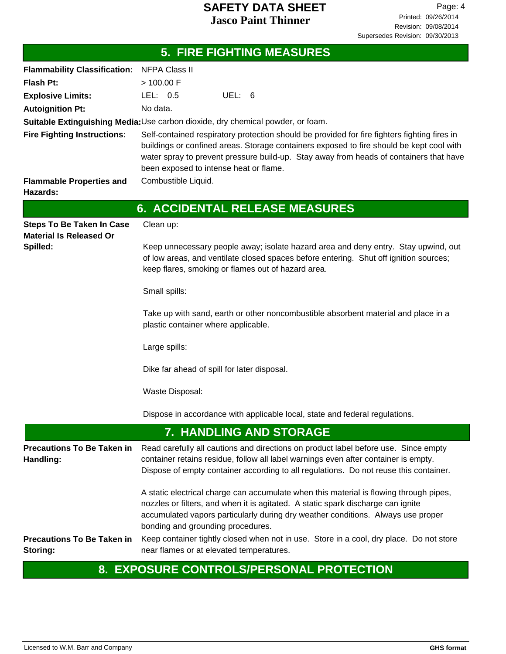|                                                                    | <b>5. FIRE FIGHTING MEASURES</b>                                                                                                                                                                                                                                                                                             |  |  |  |
|--------------------------------------------------------------------|------------------------------------------------------------------------------------------------------------------------------------------------------------------------------------------------------------------------------------------------------------------------------------------------------------------------------|--|--|--|
| Flammability Classification: NFPA Class II                         |                                                                                                                                                                                                                                                                                                                              |  |  |  |
| <b>Flash Pt:</b>                                                   | > 100.00 F                                                                                                                                                                                                                                                                                                                   |  |  |  |
| <b>Explosive Limits:</b>                                           | LEL: 0.5<br>UEL: 6                                                                                                                                                                                                                                                                                                           |  |  |  |
| <b>Autoignition Pt:</b>                                            | No data.                                                                                                                                                                                                                                                                                                                     |  |  |  |
|                                                                    | Suitable Extinguishing Media: Use carbon dioxide, dry chemical powder, or foam.                                                                                                                                                                                                                                              |  |  |  |
| <b>Fire Fighting Instructions:</b>                                 | Self-contained respiratory protection should be provided for fire fighters fighting fires in<br>buildings or confined areas. Storage containers exposed to fire should be kept cool with<br>water spray to prevent pressure build-up. Stay away from heads of containers that have<br>been exposed to intense heat or flame. |  |  |  |
| <b>Flammable Properties and</b><br>Hazards:                        | Combustible Liquid.                                                                                                                                                                                                                                                                                                          |  |  |  |
|                                                                    | <b>6. ACCIDENTAL RELEASE MEASURES</b>                                                                                                                                                                                                                                                                                        |  |  |  |
| <b>Steps To Be Taken In Case</b><br><b>Material Is Released Or</b> | Clean up:                                                                                                                                                                                                                                                                                                                    |  |  |  |
| Spilled:                                                           | Keep unnecessary people away; isolate hazard area and deny entry. Stay upwind, out<br>of low areas, and ventilate closed spaces before entering. Shut off ignition sources;<br>keep flares, smoking or flames out of hazard area.                                                                                            |  |  |  |
|                                                                    | Small spills:                                                                                                                                                                                                                                                                                                                |  |  |  |
|                                                                    | Take up with sand, earth or other noncombustible absorbent material and place in a<br>plastic container where applicable.                                                                                                                                                                                                    |  |  |  |
|                                                                    | Large spills:                                                                                                                                                                                                                                                                                                                |  |  |  |
|                                                                    | Dike far ahead of spill for later disposal.                                                                                                                                                                                                                                                                                  |  |  |  |
|                                                                    | Waste Disposal:                                                                                                                                                                                                                                                                                                              |  |  |  |
|                                                                    | Dispose in accordance with applicable local, state and federal regulations.                                                                                                                                                                                                                                                  |  |  |  |
|                                                                    | 7. HANDLING AND STORAGE                                                                                                                                                                                                                                                                                                      |  |  |  |
| <b>Precautions To Be Taken in</b><br>Handling:                     | Read carefully all cautions and directions on product label before use. Since empty<br>container retains residue, follow all label warnings even after container is empty.<br>Dispose of empty container according to all regulations. Do not reuse this container.                                                          |  |  |  |
|                                                                    | A static electrical charge can accumulate when this material is flowing through pipes,<br>nozzles or filters, and when it is agitated. A static spark discharge can ignite<br>accumulated vapors particularly during dry weather conditions. Always use proper<br>bonding and grounding procedures.                          |  |  |  |
| <b>Precautions To Be Taken in</b><br>Storing:                      | Keep container tightly closed when not in use. Store in a cool, dry place. Do not store<br>near flames or at elevated temperatures.                                                                                                                                                                                          |  |  |  |

# **8. EXPOSURE CONTROLS/PERSONAL PROTECTION**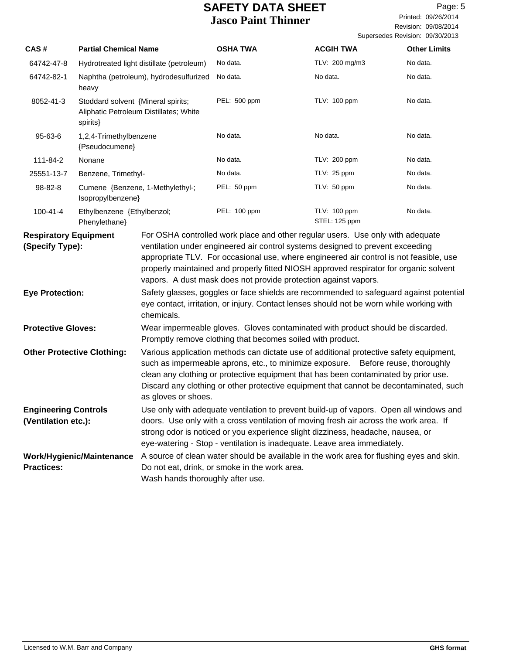Printed: 09/26/2014 Page: 5

Revision: 09/08/2014 Supersedes Revision: 09/30/2013

|                                                                                                                                                                                                                            |                                                                                          |                                                                                                                                              |                                                                                                                                                                                                                                                                                                                                                                                                                        |                               | Supersedes Revision: 09/30/2013 |
|----------------------------------------------------------------------------------------------------------------------------------------------------------------------------------------------------------------------------|------------------------------------------------------------------------------------------|----------------------------------------------------------------------------------------------------------------------------------------------|------------------------------------------------------------------------------------------------------------------------------------------------------------------------------------------------------------------------------------------------------------------------------------------------------------------------------------------------------------------------------------------------------------------------|-------------------------------|---------------------------------|
| CAS#                                                                                                                                                                                                                       | <b>Partial Chemical Name</b>                                                             |                                                                                                                                              | <b>OSHA TWA</b>                                                                                                                                                                                                                                                                                                                                                                                                        | <b>ACGIH TWA</b>              | <b>Other Limits</b>             |
| 64742-47-8                                                                                                                                                                                                                 | Hydrotreated light distillate (petroleum)                                                |                                                                                                                                              | No data.                                                                                                                                                                                                                                                                                                                                                                                                               | TLV: 200 mg/m3                | No data.                        |
| 64742-82-1                                                                                                                                                                                                                 | Naphtha (petroleum), hydrodesulfurized<br>heavy                                          |                                                                                                                                              | No data.                                                                                                                                                                                                                                                                                                                                                                                                               | No data.                      | No data.                        |
| 8052-41-3                                                                                                                                                                                                                  | Stoddard solvent {Mineral spirits;<br>Aliphatic Petroleum Distillates; White<br>spirits} |                                                                                                                                              | PEL: 500 ppm                                                                                                                                                                                                                                                                                                                                                                                                           | TLV: 100 ppm                  | No data.                        |
| 95-63-6                                                                                                                                                                                                                    | 1,2,4-Trimethylbenzene<br>{Pseudocumene}                                                 |                                                                                                                                              | No data.                                                                                                                                                                                                                                                                                                                                                                                                               | No data.                      | No data.                        |
| 111-84-2                                                                                                                                                                                                                   | Nonane                                                                                   |                                                                                                                                              | No data.                                                                                                                                                                                                                                                                                                                                                                                                               | TLV: 200 ppm                  | No data.                        |
| 25551-13-7                                                                                                                                                                                                                 | Benzene, Trimethyl-                                                                      |                                                                                                                                              | No data.                                                                                                                                                                                                                                                                                                                                                                                                               | TLV: 25 ppm                   | No data.                        |
| 98-82-8                                                                                                                                                                                                                    | Cumene {Benzene, 1-Methylethyl-;<br>Isopropylbenzene}                                    |                                                                                                                                              | PEL: 50 ppm                                                                                                                                                                                                                                                                                                                                                                                                            | TLV: 50 ppm                   | No data.                        |
| $100 - 41 - 4$                                                                                                                                                                                                             | Ethylbenzene {Ethylbenzol;<br>Phenylethane}                                              |                                                                                                                                              | PEL: 100 ppm                                                                                                                                                                                                                                                                                                                                                                                                           | TLV: 100 ppm<br>STEL: 125 ppm | No data.                        |
| <b>Respiratory Equipment</b><br>(Specify Type):                                                                                                                                                                            |                                                                                          |                                                                                                                                              | For OSHA controlled work place and other regular users. Use only with adequate<br>ventilation under engineered air control systems designed to prevent exceeding<br>appropriate TLV. For occasional use, where engineered air control is not feasible, use<br>properly maintained and properly fitted NIOSH approved respirator for organic solvent<br>vapors. A dust mask does not provide protection against vapors. |                               |                                 |
| <b>Eye Protection:</b><br>Safety glasses, goggles or face shields are recommended to safeguard against potential<br>eye contact, irritation, or injury. Contact lenses should not be worn while working with<br>chemicals. |                                                                                          |                                                                                                                                              |                                                                                                                                                                                                                                                                                                                                                                                                                        |                               |                                 |
| <b>Protective Gloves:</b>                                                                                                                                                                                                  |                                                                                          | Wear impermeable gloves. Gloves contaminated with product should be discarded.<br>Promptly remove clothing that becomes soiled with product. |                                                                                                                                                                                                                                                                                                                                                                                                                        |                               |                                 |

Various application methods can dictate use of additional protective safety equipment, such as impermeable aprons, etc., to minimize exposure. Before reuse, thoroughly clean any clothing or protective equipment that has been contaminated by prior use. Discard any clothing or other protective equipment that cannot be decontaminated, such as gloves or shoes. **Other Protective Clothing:**

| <b>Engineering Controls</b> | Use only with adequate ventilation to prevent build-up of vapors. Open all windows and |
|-----------------------------|----------------------------------------------------------------------------------------|
| (Ventilation etc.):         | doors. Use only with a cross ventilation of moving fresh air across the work area. If  |
|                             | strong odor is noticed or you experience slight dizziness, headache, nausea, or        |
|                             | eye-watering - Stop - ventilation is inadequate. Leave area immediately.               |

Work/Hygienic/Maintenance A source of clean water should be available in the work area for flushing eyes and skin. Do not eat, drink, or smoke in the work area. Wash hands thoroughly after use. **Practices:**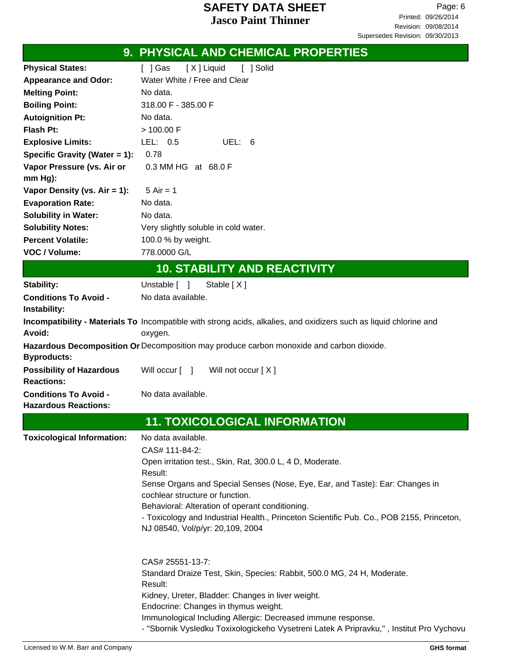|                                                      | 9. PHYSICAL AND CHEMICAL PROPERTIES                                                                                                                     |
|------------------------------------------------------|---------------------------------------------------------------------------------------------------------------------------------------------------------|
| <b>Physical States:</b>                              | [X] Liquid<br>[ ] Solid<br>$[$ ] Gas                                                                                                                    |
| <b>Appearance and Odor:</b>                          | Water White / Free and Clear                                                                                                                            |
| <b>Melting Point:</b>                                | No data.                                                                                                                                                |
| <b>Boiling Point:</b>                                | 318.00 F - 385.00 F                                                                                                                                     |
| <b>Autoignition Pt:</b>                              | No data.                                                                                                                                                |
| <b>Flash Pt:</b>                                     | > 100.00 F                                                                                                                                              |
| <b>Explosive Limits:</b>                             | LEL: 0.5<br>UEL: 6                                                                                                                                      |
| Specific Gravity (Water $= 1$ ):                     | 0.78                                                                                                                                                    |
| Vapor Pressure (vs. Air or                           | 0.3 MM HG at 68.0 F                                                                                                                                     |
| $mm Hg$ ):                                           |                                                                                                                                                         |
| Vapor Density (vs. $Air = 1$ ):                      | $5$ Air = 1                                                                                                                                             |
| <b>Evaporation Rate:</b>                             | No data.                                                                                                                                                |
| <b>Solubility in Water:</b>                          | No data.                                                                                                                                                |
| <b>Solubility Notes:</b>                             | Very slightly soluble in cold water.                                                                                                                    |
| <b>Percent Volatile:</b>                             | 100.0 % by weight.                                                                                                                                      |
| VOC / Volume:                                        | 778.0000 G/L                                                                                                                                            |
|                                                      | <b>10. STABILITY AND REACTIVITY</b>                                                                                                                     |
| Stability:                                           | Unstable [ ]<br>Stable $[X]$                                                                                                                            |
| <b>Conditions To Avoid -</b>                         | No data available.                                                                                                                                      |
| Instability:                                         |                                                                                                                                                         |
|                                                      | Incompatibility - Materials To Incompatible with strong acids, alkalies, and oxidizers such as liquid chlorine and                                      |
| Avoid:                                               | oxygen.                                                                                                                                                 |
| <b>Byproducts:</b>                                   | Hazardous Decomposition Or Decomposition may produce carbon monoxide and carbon dioxide.                                                                |
| <b>Possibility of Hazardous</b><br><b>Reactions:</b> | Will occur [ ] Will not occur [X]                                                                                                                       |
| <b>Conditions To Avoid -</b>                         | No data available.                                                                                                                                      |
| <b>Hazardous Reactions:</b>                          |                                                                                                                                                         |
|                                                      | <b>11. TOXICOLOGICAL INFORMATION</b>                                                                                                                    |
| <b>Toxicological Information:</b>                    | No data available.                                                                                                                                      |
|                                                      | CAS# 111-84-2:                                                                                                                                          |
|                                                      | Open irritation test., Skin, Rat, 300.0 L, 4 D, Moderate.                                                                                               |
|                                                      | Result:<br>Sense Organs and Special Senses (Nose, Eye, Ear, and Taste): Ear: Changes in                                                                 |
|                                                      | cochlear structure or function.                                                                                                                         |
|                                                      | Behavioral: Alteration of operant conditioning.                                                                                                         |
|                                                      | - Toxicology and Industrial Health., Princeton Scientific Pub. Co., POB 2155, Princeton,                                                                |
|                                                      | NJ 08540, Vol/p/yr: 20,109, 2004                                                                                                                        |
|                                                      |                                                                                                                                                         |
|                                                      | CAS# 25551-13-7:                                                                                                                                        |
|                                                      | Standard Draize Test, Skin, Species: Rabbit, 500.0 MG, 24 H, Moderate.<br>Result:                                                                       |
|                                                      | Kidney, Ureter, Bladder: Changes in liver weight.                                                                                                       |
|                                                      | Endocrine: Changes in thymus weight.                                                                                                                    |
|                                                      | Immunological Including Allergic: Decreased immune response.<br>- "Sbornik Vysledku Toxixologickeho Vysetreni Latek A Pripravku,", Institut Pro Vychovu |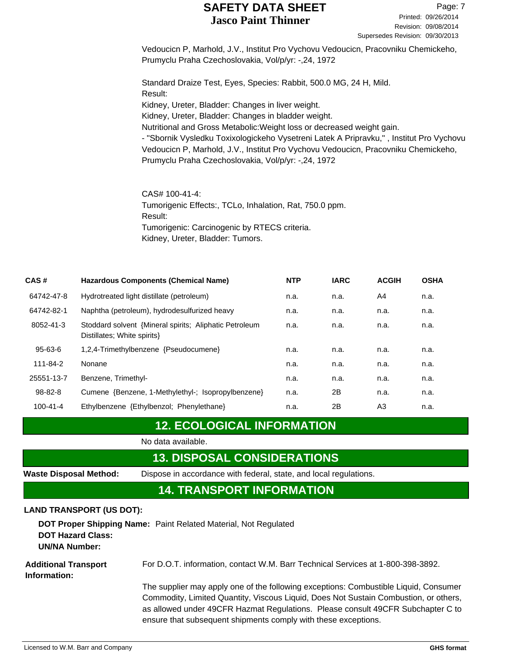Vedoucicn P, Marhold, J.V., Institut Pro Vychovu Vedoucicn, Pracovniku Chemickeho, Prumyclu Praha Czechoslovakia, Vol/p/yr: -,24, 1972

Standard Draize Test, Eyes, Species: Rabbit, 500.0 MG, 24 H, Mild. Result: Kidney, Ureter, Bladder: Changes in liver weight. Kidney, Ureter, Bladder: Changes in bladder weight. Nutritional and Gross Metabolic:Weight loss or decreased weight gain. - "Sbornik Vysledku Toxixologickeho Vysetreni Latek A Pripravku," , Institut Pro Vychovu Vedoucicn P, Marhold, J.V., Institut Pro Vychovu Vedoucicn, Pracovniku Chemickeho, Prumyclu Praha Czechoslovakia, Vol/p/yr: -,24, 1972

CAS# 100-41-4: Tumorigenic Effects:, TCLo, Inhalation, Rat, 750.0 ppm. Result: Tumorigenic: Carcinogenic by RTECS criteria. Kidney, Ureter, Bladder: Tumors.

| CAS#           | <b>Hazardous Components (Chemical Name)</b>                                           | <b>NTP</b> | <b>IARC</b> | <b>ACGIH</b> | <b>OSHA</b> |
|----------------|---------------------------------------------------------------------------------------|------------|-------------|--------------|-------------|
| 64742-47-8     | Hydrotreated light distillate (petroleum)                                             | n.a.       | n.a.        | A4           | n.a.        |
| 64742-82-1     | Naphtha (petroleum), hydrodesulfurized heavy                                          | n.a.       | n.a.        | n.a.         | n.a.        |
| 8052-41-3      | Stoddard solvent {Mineral spirits: Aliphatic Petroleum<br>Distillates; White spirits} | n.a.       | n.a.        | n.a.         | n.a.        |
| $95 - 63 - 6$  | 1,2,4-Trimethylbenzene {Pseudocumene}                                                 | n.a.       | n.a.        | n.a.         | n.a.        |
| 111-84-2       | Nonane                                                                                | n.a.       | n.a.        | n.a.         | n.a.        |
| 25551-13-7     | Benzene, Trimethyl-                                                                   | n.a.       | n.a.        | n.a.         | n.a.        |
| $98 - 82 - 8$  | Cumene {Benzene, 1-Methylethyl-; Isopropylbenzene}                                    | n.a.       | 2В          | n.a.         | n.a.        |
| $100 - 41 - 4$ | Ethylbenzene {Ethylbenzol; Phenylethane}                                              | n.a.       | 2B          | A3           | n.a.        |

# **12. ECOLOGICAL INFORMATION**

No data available.

## **13. DISPOSAL CONSIDERATIONS**

**Waste Disposal Method:** Dispose in accordance with federal, state, and local regulations.

### **14. TRANSPORT INFORMATION**

#### **LAND TRANSPORT (US DOT):**

**DOT Proper Shipping Name:** Paint Related Material, Not Regulated **DOT Hazard Class: UN/NA Number:**

For D.O.T. information, contact W.M. Barr Technical Services at 1-800-398-3892. **Additional Transport Information:**

> The supplier may apply one of the following exceptions: Combustible Liquid, Consumer Commodity, Limited Quantity, Viscous Liquid, Does Not Sustain Combustion, or others, as allowed under 49CFR Hazmat Regulations. Please consult 49CFR Subchapter C to ensure that subsequent shipments comply with these exceptions.